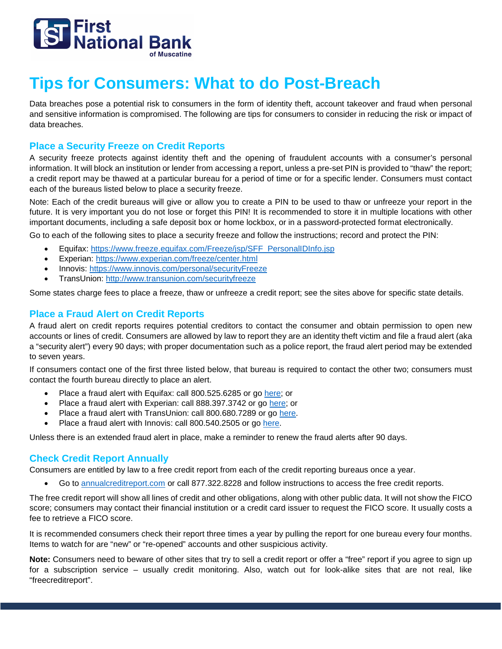

# **Tips for Consumers: What to do Post-Breach**

Data breaches pose a potential risk to consumers in the form of identity theft, account takeover and fraud when personal and sensitive information is compromised. The following are tips for consumers to consider in reducing the risk or impact of data breaches.

### **Place a Security Freeze on Credit Reports**

A security freeze protects against identity theft and the opening of fraudulent accounts with a consumer's personal information. It will block an institution or lender from accessing a report, unless a pre-set PIN is provided to "thaw" the report; a credit report may be thawed at a particular bureau for a period of time or for a specific lender. Consumers must contact each of the bureaus listed below to place a security freeze.

Note: Each of the credit bureaus will give or allow you to create a PIN to be used to thaw or unfreeze your report in the future. It is very important you do not lose or forget this PIN! It is recommended to store it in multiple locations with other important documents, including a safe deposit box or home lockbox, or in a password-protected format electronically.

Go to each of the following sites to place a security freeze and follow the instructions; record and protect the PIN:

- Equifax: [https://www.freeze.equifax.com/Freeze/jsp/SFF\\_PersonalIDInfo.jsp](https://www.freeze.equifax.com/Freeze/jsp/SFF_PersonalIDInfo.jsp)
- Experian:<https://www.experian.com/freeze/center.html>
- Innovis:<https://www.innovis.com/personal/securityFreeze>
- TransUnion:<http://www.transunion.com/securityfreeze>

Some states charge fees to place a freeze, thaw or unfreeze a credit report; see the sites above for specific state details.

#### **Place a Fraud Alert on Credit Reports**

A fraud alert on credit reports requires potential creditors to contact the consumer and obtain permission to open new accounts or lines of credit. Consumers are allowed by law to report they are an identity theft victim and file a fraud alert (aka a "security alert") every 90 days; with proper documentation such as a police report, the fraud alert period may be extended to seven years.

If consumers contact one of the first three listed below, that bureau is required to contact the other two; consumers must contact the fourth bureau directly to place an alert.

- Place a fraud alert with Equifax: call 800.525.6285 or go [here;](https://www.alerts.equifax.com/AutoFraud_Online/jsp/fraudAlert.jsp) or
- Place a fraud alert with Experian: call 888.397.3742 or go [here;](https://www.experian.com/fraud/center.html) or
- Place a fraud alert with TransUnion: call 800.680.7289 or go [here.](https://www.transunion.com/fraud-victim-resource/place-fraud-alert)
- Place a fraud alert with Innovis: call 800.540.2505 or go [here.](https://www.innovis.com/fraudActiveDutyAlerts/index)

Unless there is an extended fraud alert in place, make a reminder to renew the fraud alerts after 90 days.

### **Check Credit Report Annually**

Consumers are entitled by law to a free credit report from each of the credit reporting bureaus once a year.

• Go to [annualcreditreport.com](https://www.annualcreditreport.com/index.action) or call 877.322.8228 and follow instructions to access the free credit reports.

The free credit report will show all lines of credit and other obligations, along with other public data. It will not show the FICO score; consumers may contact their financial institution or a credit card issuer to request the FICO score. It usually costs a fee to retrieve a FICO score.

It is recommended consumers check their report three times a year by pulling the report for one bureau every four months. Items to watch for are "new" or "re-opened" accounts and other suspicious activity.

**Note:** Consumers need to beware of other sites that try to sell a credit report or offer a "free" report if you agree to sign up for a subscription service – usually credit monitoring. Also, watch out for look-alike sites that are not real, like "freecreditreport".